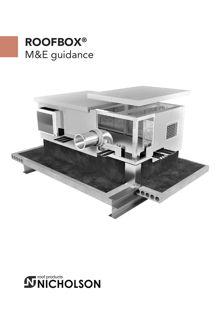# M&E guidance ROOFBOX®



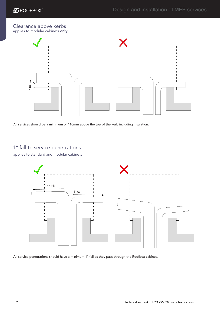#### Clearance above kerbs applies to modular cabinets only



All services should be a minimum of 110mm above the top of the kerb including insulation.

applies to standard and modular cabinets



All service penetrations should have a minimum 1° fall as they pass through the Roofbox cabinet.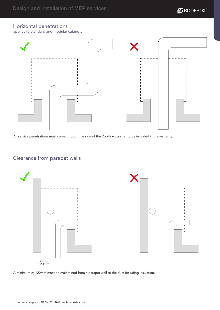# $\overline{\mathbf{N}}$  ROOFBOX $^*$

#### Horizontal penetrations

applies to standard and modular cabinets



All service penetrations must come through the side of the Roofbox cabinet to be included in the warranty.

## Clearance from parapet walls



A minimum of 120mm must be maintained from a parapet wall to the duct including insulation.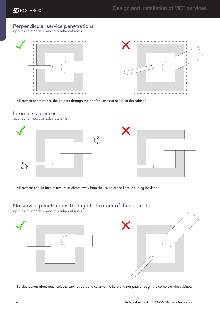#### Perpendicular service penetrations applies to standard and modular cabinets



All service penetrations should pass through the Roofbox cabinet at 90° to the cabinet.

# Internal clearances

applies to modular cabinets only



All services should be a minimum of 25mm away from the inside of the kerb including insulation.

#### No service penetrations through the corner of the cabinets

applies to standard and modular cabinets

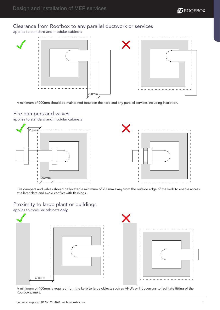

#### Clearance from Roofbox to any parallel ductwork or services

applies to standard and modular cabinets



A minimum of 200mm should be maintained between the kerb and any parallel services including insulation.

#### Fire dampers and valves

applies to standard and modular cabinets



Fire dampers and valves should be located a minimum of 200mm away from the outside edge of the kerb to enable access at a later date and avoid conflict with flashings.

### Proximity to large plant or buildings

applies to modular cabinets only



A minimum of 400mm is required from the kerb to large objects such as AHU's or lift overruns to facilitate fitting of the Roofbox panels.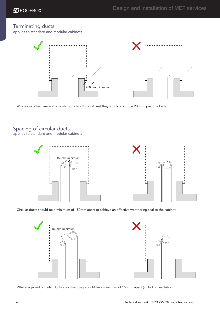#### Terminating ducts

applies to standard and modular cabinets



Where ducts terminate after exiting the Roofbox cabinet they should continue 200mm past the kerb.

# Spacing of circular ducts

applies to standard and modular cabinets



Circular ducts should be a minimum of 150mm apart to achieve an effective weathering seal to the cabinet.



Where adjacent circular ducts are offset they should be a minimum of 150mm apart (including insulation).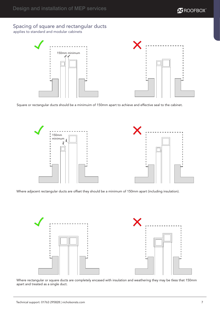

# Spacing of square and rectangular ducts

applies to standard and modular cabinets





Square or rectangular ducts should be a minimuim of 150mm apart to achieve and effective seal to the cabinet.



Where adjacent rectangular ducts are offset they should be a minimum of 150mm apart (including insulation).



Where rectangular or square ducts are completely encased with insulation and weathering they may be tless that 150mm apart and treated as a single duct.